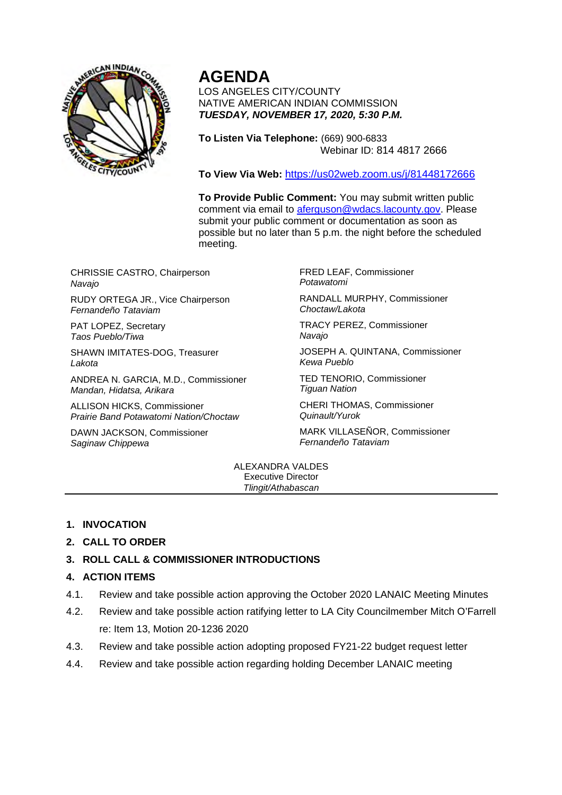

# **AGENDA**

LOS ANGELES CITY/COUNTY NATIVE AMERICAN INDIAN COMMISSION *TUESDAY, NOVEMBER 17, 2020, 5:30 P.M.*

**To Listen Via Telephone:** (669) 900-6833 Webinar ID: 814 4817 2666

**To View Via Web:** https://us02web.zoom.us/j/81448172666

**To Provide Public Comment:** You may submit written public comment via email to aferguson@wdacs.lacounty.gov. Please submit your public comment or documentation as soon as possible but no later than 5 p.m. the night before the scheduled meeting.

CHRISSIE CASTRO, Chairperson *Navajo*

RUDY ORTEGA JR., Vice Chairperson *Fernandeño Tataviam*

PAT LOPEZ, Secretary *Taos Pueblo/Tiwa*

SHAWN IMITATES-DOG, Treasurer *Lakota*

ANDREA N. GARCIA, M.D., Commissioner *Mandan, Hidatsa, Arikara*

ALLISON HICKS, Commissioner *Prairie Band Potawatomi Nation/Choctaw*

DAWN JACKSON, Commissioner *Saginaw Chippewa*

FRED LEAF, Commissioner *Potawatomi*

RANDALL MURPHY, Commissioner *Choctaw/Lakota*

TRACY PEREZ, Commissioner *Navajo*

JOSEPH A. QUINTANA, Commissioner *Kewa Pueblo*

TED TENORIO, Commissioner *Tiguan Nation*

CHERI THOMAS, Commissioner *Quinault/Yurok*

MARK VILLASEÑOR, Commissioner *Fernandeño Tataviam*

#### ALEXANDRA VALDES Executive Director *Tlingit/Athabascan*

# **1. INVOCATION**

# **2. CALL TO ORDER**

# **3. ROLL CALL & COMMISSIONER INTRODUCTIONS**

### **4. ACTION ITEMS**

- 4.1. Review and take possible action approving the October 2020 LANAIC Meeting Minutes
- 4.2. Review and take possible action ratifying letter to LA City Councilmember Mitch O'Farrell re: Item 13, Motion 20-1236 2020
- 4.3. Review and take possible action adopting proposed FY21-22 budget request letter
- 4.4. Review and take possible action regarding holding December LANAIC meeting